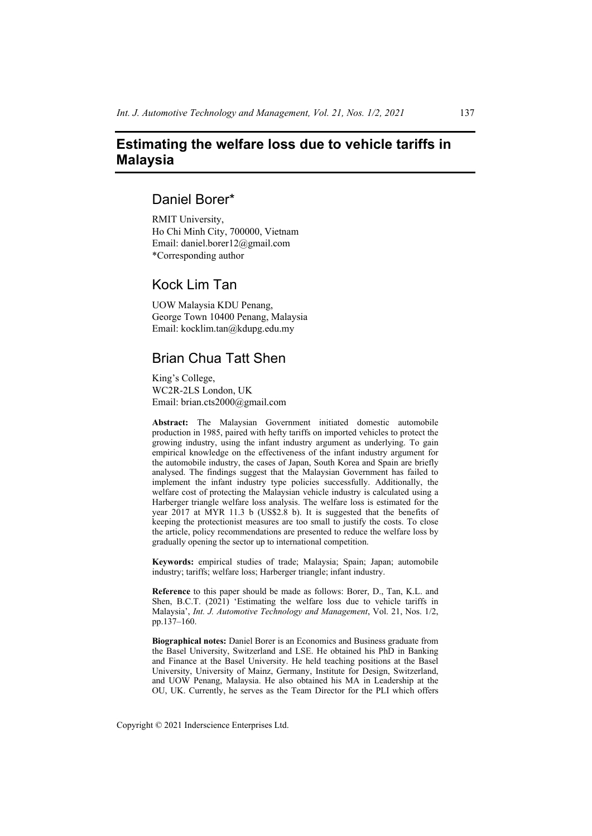# **Estimating the welfare loss due to vehicle tariffs in Malaysia**

# Daniel Borer\*

RMIT University, Ho Chi Minh City, 700000, Vietnam Email: daniel.borer12@gmail.com \*Corresponding author

# Kock Lim Tan

UOW Malaysia KDU Penang, George Town 10400 Penang, Malaysia Email: kocklim.tan@kdupg.edu.my

# Brian Chua Tatt Shen

King's College, WC2R-2LS London, UK Email: brian.cts2000@gmail.com

**Abstract:** The Malaysian Government initiated domestic automobile production in 1985, paired with hefty tariffs on imported vehicles to protect the growing industry, using the infant industry argument as underlying. To gain empirical knowledge on the effectiveness of the infant industry argument for the automobile industry, the cases of Japan, South Korea and Spain are briefly analysed. The findings suggest that the Malaysian Government has failed to implement the infant industry type policies successfully. Additionally, the welfare cost of protecting the Malaysian vehicle industry is calculated using a Harberger triangle welfare loss analysis. The welfare loss is estimated for the year 2017 at MYR 11.3 b (US\$2.8 b). It is suggested that the benefits of keeping the protectionist measures are too small to justify the costs. To close the article, policy recommendations are presented to reduce the welfare loss by gradually opening the sector up to international competition.

**Keywords:** empirical studies of trade; Malaysia; Spain; Japan; automobile industry; tariffs; welfare loss; Harberger triangle; infant industry.

**Reference** to this paper should be made as follows: Borer, D., Tan, K.L. and Shen, B.C.T. (2021) 'Estimating the welfare loss due to vehicle tariffs in Malaysia', *Int. J. Automotive Technology and Management*, Vol. 21, Nos. 1/2, pp.137–160.

**Biographical notes:** Daniel Borer is an Economics and Business graduate from the Basel University, Switzerland and LSE. He obtained his PhD in Banking and Finance at the Basel University. He held teaching positions at the Basel University, University of Mainz, Germany, Institute for Design, Switzerland, and UOW Penang, Malaysia. He also obtained his MA in Leadership at the OU, UK. Currently, he serves as the Team Director for the PLI which offers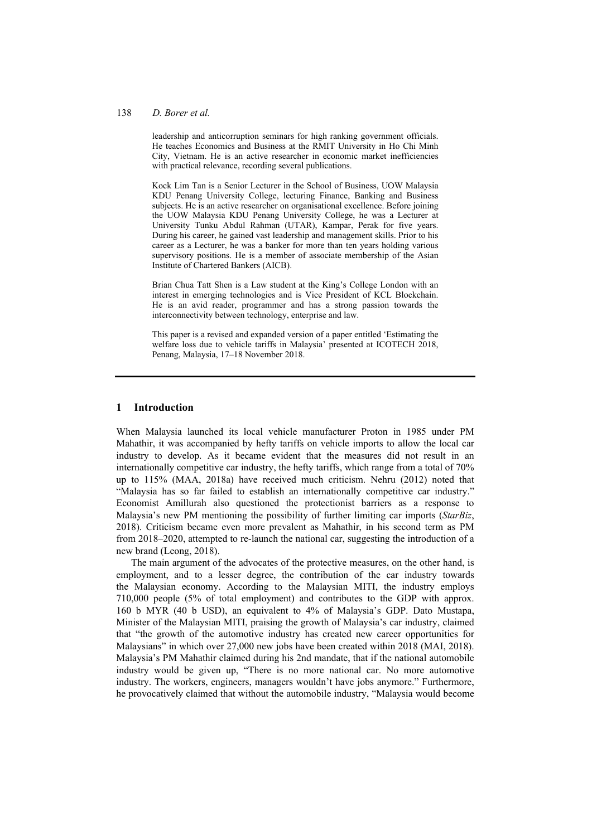#### 138 *D. Borer et al.*

leadership and anticorruption seminars for high ranking government officials. He teaches Economics and Business at the RMIT University in Ho Chi Minh City, Vietnam. He is an active researcher in economic market inefficiencies with practical relevance, recording several publications.

Kock Lim Tan is a Senior Lecturer in the School of Business, UOW Malaysia KDU Penang University College, lecturing Finance, Banking and Business subjects. He is an active researcher on organisational excellence. Before joining the UOW Malaysia KDU Penang University College, he was a Lecturer at University Tunku Abdul Rahman (UTAR), Kampar, Perak for five years. During his career, he gained vast leadership and management skills. Prior to his career as a Lecturer, he was a banker for more than ten years holding various supervisory positions. He is a member of associate membership of the Asian Institute of Chartered Bankers (AICB).

Brian Chua Tatt Shen is a Law student at the King's College London with an interest in emerging technologies and is Vice President of KCL Blockchain. He is an avid reader, programmer and has a strong passion towards the interconnectivity between technology, enterprise and law.

This paper is a revised and expanded version of a paper entitled 'Estimating the welfare loss due to vehicle tariffs in Malaysia' presented at ICOTECH 2018, Penang, Malaysia, 17–18 November 2018.

### **1 Introduction**

When Malaysia launched its local vehicle manufacturer Proton in 1985 under PM Mahathir, it was accompanied by hefty tariffs on vehicle imports to allow the local car industry to develop. As it became evident that the measures did not result in an internationally competitive car industry, the hefty tariffs, which range from a total of 70% up to 115% (MAA, 2018a) have received much criticism. Nehru (2012) noted that "Malaysia has so far failed to establish an internationally competitive car industry." Economist Amillurah also questioned the protectionist barriers as a response to Malaysia's new PM mentioning the possibility of further limiting car imports (*StarBiz*, 2018). Criticism became even more prevalent as Mahathir, in his second term as PM from 2018–2020, attempted to re-launch the national car, suggesting the introduction of a new brand (Leong, 2018).

The main argument of the advocates of the protective measures, on the other hand, is employment, and to a lesser degree, the contribution of the car industry towards the Malaysian economy. According to the Malaysian MITI, the industry employs 710,000 people (5% of total employment) and contributes to the GDP with approx. 160 b MYR (40 b USD), an equivalent to 4% of Malaysia's GDP. Dato Mustapa, Minister of the Malaysian MITI, praising the growth of Malaysia's car industry, claimed that "the growth of the automotive industry has created new career opportunities for Malaysians" in which over 27,000 new jobs have been created within 2018 (MAI, 2018). Malaysia's PM Mahathir claimed during his 2nd mandate, that if the national automobile industry would be given up, "There is no more national car. No more automotive industry. The workers, engineers, managers wouldn't have jobs anymore." Furthermore, he provocatively claimed that without the automobile industry, "Malaysia would become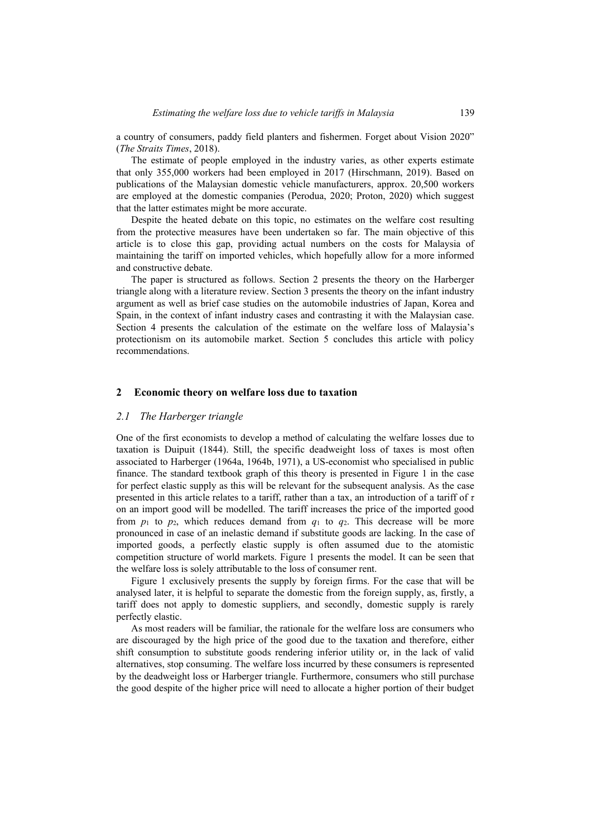a country of consumers, paddy field planters and fishermen. Forget about Vision 2020" (*The Straits Times*, 2018).

The estimate of people employed in the industry varies, as other experts estimate that only 355,000 workers had been employed in 2017 (Hirschmann, 2019). Based on publications of the Malaysian domestic vehicle manufacturers, approx. 20,500 workers are employed at the domestic companies (Perodua, 2020; Proton, 2020) which suggest that the latter estimates might be more accurate.

Despite the heated debate on this topic, no estimates on the welfare cost resulting from the protective measures have been undertaken so far. The main objective of this article is to close this gap, providing actual numbers on the costs for Malaysia of maintaining the tariff on imported vehicles, which hopefully allow for a more informed and constructive debate.

The paper is structured as follows. Section 2 presents the theory on the Harberger triangle along with a literature review. Section 3 presents the theory on the infant industry argument as well as brief case studies on the automobile industries of Japan, Korea and Spain, in the context of infant industry cases and contrasting it with the Malaysian case. Section 4 presents the calculation of the estimate on the welfare loss of Malaysia's protectionism on its automobile market. Section 5 concludes this article with policy recommendations.

#### **2 Economic theory on welfare loss due to taxation**

#### *2.1 The Harberger triangle*

One of the first economists to develop a method of calculating the welfare losses due to taxation is Duipuit (1844). Still, the specific deadweight loss of taxes is most often associated to Harberger (1964a, 1964b, 1971), a US-economist who specialised in public finance. The standard textbook graph of this theory is presented in Figure 1 in the case for perfect elastic supply as this will be relevant for the subsequent analysis. As the case presented in this article relates to a tariff, rather than a tax, an introduction of a tariff of *τ* on an import good will be modelled. The tariff increases the price of the imported good from  $p_1$  to  $p_2$ , which reduces demand from  $q_1$  to  $q_2$ . This decrease will be more pronounced in case of an inelastic demand if substitute goods are lacking. In the case of imported goods, a perfectly elastic supply is often assumed due to the atomistic competition structure of world markets. Figure 1 presents the model. It can be seen that the welfare loss is solely attributable to the loss of consumer rent.

Figure 1 exclusively presents the supply by foreign firms. For the case that will be analysed later, it is helpful to separate the domestic from the foreign supply, as, firstly, a tariff does not apply to domestic suppliers, and secondly, domestic supply is rarely perfectly elastic.

As most readers will be familiar, the rationale for the welfare loss are consumers who are discouraged by the high price of the good due to the taxation and therefore, either shift consumption to substitute goods rendering inferior utility or, in the lack of valid alternatives, stop consuming. The welfare loss incurred by these consumers is represented by the deadweight loss or Harberger triangle. Furthermore, consumers who still purchase the good despite of the higher price will need to allocate a higher portion of their budget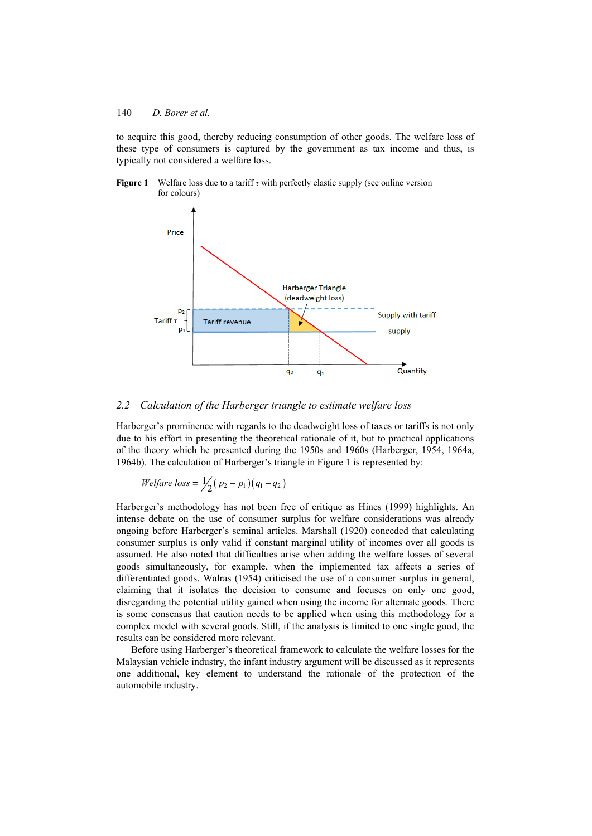to acquire this good, thereby reducing consumption of other goods. The welfare loss of these type of consumers is captured by the government as tax income and thus, is typically not considered a welfare loss.





## *2.2 Calculation of the Harberger triangle to estimate welfare loss*

Harberger's prominence with regards to the deadweight loss of taxes or tariffs is not only due to his effort in presenting the theoretical rationale of it, but to practical applications of the theory which he presented during the 1950s and 1960s (Harberger, 1954, 1964a, 1964b). The calculation of Harberger's triangle in Figure 1 is represented by:

*Welfare loss* = 
$$
\frac{1}{2}(p_2 - p_1)(q_1 - q_2)
$$

Harberger's methodology has not been free of critique as Hines (1999) highlights. An intense debate on the use of consumer surplus for welfare considerations was already ongoing before Harberger's seminal articles. Marshall (1920) conceded that calculating consumer surplus is only valid if constant marginal utility of incomes over all goods is assumed. He also noted that difficulties arise when adding the welfare losses of several goods simultaneously, for example, when the implemented tax affects a series of differentiated goods. Walras (1954) criticised the use of a consumer surplus in general, claiming that it isolates the decision to consume and focuses on only one good, disregarding the potential utility gained when using the income for alternate goods. There is some consensus that caution needs to be applied when using this methodology for a complex model with several goods. Still, if the analysis is limited to one single good, the results can be considered more relevant.

Before using Harberger's theoretical framework to calculate the welfare losses for the Malaysian vehicle industry, the infant industry argument will be discussed as it represents one additional, key element to understand the rationale of the protection of the automobile industry.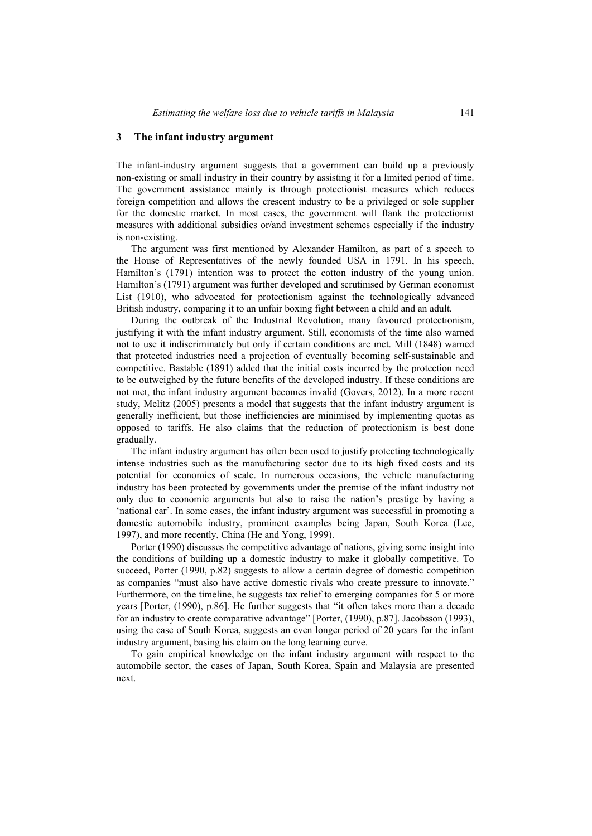#### **3 The infant industry argument**

The infant-industry argument suggests that a government can build up a previously non-existing or small industry in their country by assisting it for a limited period of time. The government assistance mainly is through protectionist measures which reduces foreign competition and allows the crescent industry to be a privileged or sole supplier for the domestic market. In most cases, the government will flank the protectionist measures with additional subsidies or/and investment schemes especially if the industry is non-existing.

The argument was first mentioned by Alexander Hamilton, as part of a speech to the House of Representatives of the newly founded USA in 1791. In his speech, Hamilton's (1791) intention was to protect the cotton industry of the young union. Hamilton's (1791) argument was further developed and scrutinised by German economist List (1910), who advocated for protectionism against the technologically advanced British industry, comparing it to an unfair boxing fight between a child and an adult.

During the outbreak of the Industrial Revolution, many favoured protectionism, justifying it with the infant industry argument. Still, economists of the time also warned not to use it indiscriminately but only if certain conditions are met. Mill (1848) warned that protected industries need a projection of eventually becoming self-sustainable and competitive. Bastable (1891) added that the initial costs incurred by the protection need to be outweighed by the future benefits of the developed industry. If these conditions are not met, the infant industry argument becomes invalid (Govers, 2012). In a more recent study, Melitz (2005) presents a model that suggests that the infant industry argument is generally inefficient, but those inefficiencies are minimised by implementing quotas as opposed to tariffs. He also claims that the reduction of protectionism is best done gradually.

The infant industry argument has often been used to justify protecting technologically intense industries such as the manufacturing sector due to its high fixed costs and its potential for economies of scale. In numerous occasions, the vehicle manufacturing industry has been protected by governments under the premise of the infant industry not only due to economic arguments but also to raise the nation's prestige by having a 'national car'. In some cases, the infant industry argument was successful in promoting a domestic automobile industry, prominent examples being Japan, South Korea (Lee, 1997), and more recently, China (He and Yong, 1999).

Porter (1990) discusses the competitive advantage of nations, giving some insight into the conditions of building up a domestic industry to make it globally competitive. To succeed, Porter (1990, p.82) suggests to allow a certain degree of domestic competition as companies "must also have active domestic rivals who create pressure to innovate." Furthermore, on the timeline, he suggests tax relief to emerging companies for 5 or more years [Porter, (1990), p.86]. He further suggests that "it often takes more than a decade for an industry to create comparative advantage" [Porter, (1990), p.87]. Jacobsson (1993), using the case of South Korea, suggests an even longer period of 20 years for the infant industry argument, basing his claim on the long learning curve.

To gain empirical knowledge on the infant industry argument with respect to the automobile sector, the cases of Japan, South Korea, Spain and Malaysia are presented next.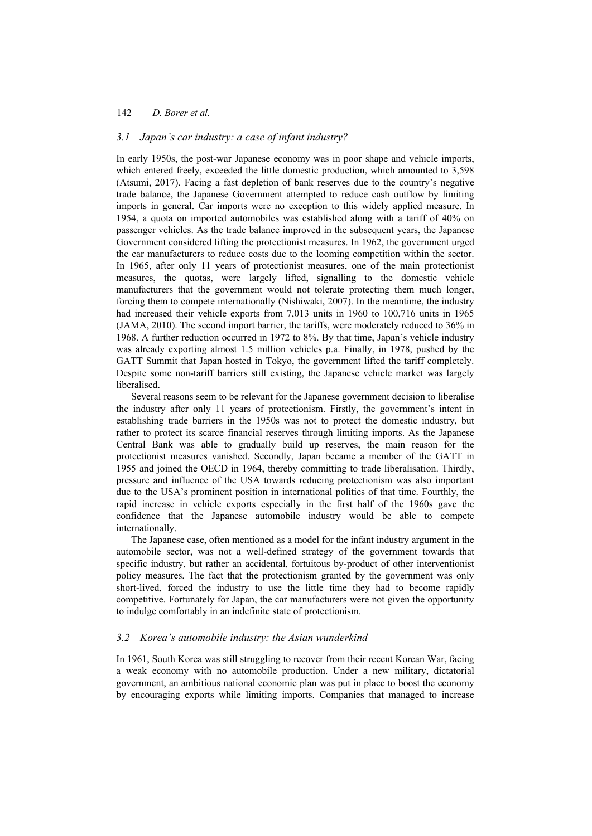### *3.1 Japan's car industry: a case of infant industry?*

In early 1950s, the post-war Japanese economy was in poor shape and vehicle imports, which entered freely, exceeded the little domestic production, which amounted to 3,598 (Atsumi, 2017). Facing a fast depletion of bank reserves due to the country's negative trade balance, the Japanese Government attempted to reduce cash outflow by limiting imports in general. Car imports were no exception to this widely applied measure. In 1954, a quota on imported automobiles was established along with a tariff of 40% on passenger vehicles. As the trade balance improved in the subsequent years, the Japanese Government considered lifting the protectionist measures. In 1962, the government urged the car manufacturers to reduce costs due to the looming competition within the sector. In 1965, after only 11 years of protectionist measures, one of the main protectionist measures, the quotas, were largely lifted, signalling to the domestic vehicle manufacturers that the government would not tolerate protecting them much longer, forcing them to compete internationally (Nishiwaki, 2007). In the meantime, the industry had increased their vehicle exports from 7,013 units in 1960 to 100,716 units in 1965 (JAMA, 2010). The second import barrier, the tariffs, were moderately reduced to 36% in 1968. A further reduction occurred in 1972 to 8%. By that time, Japan's vehicle industry was already exporting almost 1.5 million vehicles p.a. Finally, in 1978, pushed by the GATT Summit that Japan hosted in Tokyo, the government lifted the tariff completely. Despite some non-tariff barriers still existing, the Japanese vehicle market was largely liberalised.

Several reasons seem to be relevant for the Japanese government decision to liberalise the industry after only 11 years of protectionism. Firstly, the government's intent in establishing trade barriers in the 1950s was not to protect the domestic industry, but rather to protect its scarce financial reserves through limiting imports. As the Japanese Central Bank was able to gradually build up reserves, the main reason for the protectionist measures vanished. Secondly, Japan became a member of the GATT in 1955 and joined the OECD in 1964, thereby committing to trade liberalisation. Thirdly, pressure and influence of the USA towards reducing protectionism was also important due to the USA's prominent position in international politics of that time. Fourthly, the rapid increase in vehicle exports especially in the first half of the 1960s gave the confidence that the Japanese automobile industry would be able to compete internationally.

The Japanese case, often mentioned as a model for the infant industry argument in the automobile sector, was not a well-defined strategy of the government towards that specific industry, but rather an accidental, fortuitous by-product of other interventionist policy measures. The fact that the protectionism granted by the government was only short-lived, forced the industry to use the little time they had to become rapidly competitive. Fortunately for Japan, the car manufacturers were not given the opportunity to indulge comfortably in an indefinite state of protectionism.

### *3.2 Korea's automobile industry: the Asian wunderkind*

In 1961, South Korea was still struggling to recover from their recent Korean War, facing a weak economy with no automobile production. Under a new military, dictatorial government, an ambitious national economic plan was put in place to boost the economy by encouraging exports while limiting imports. Companies that managed to increase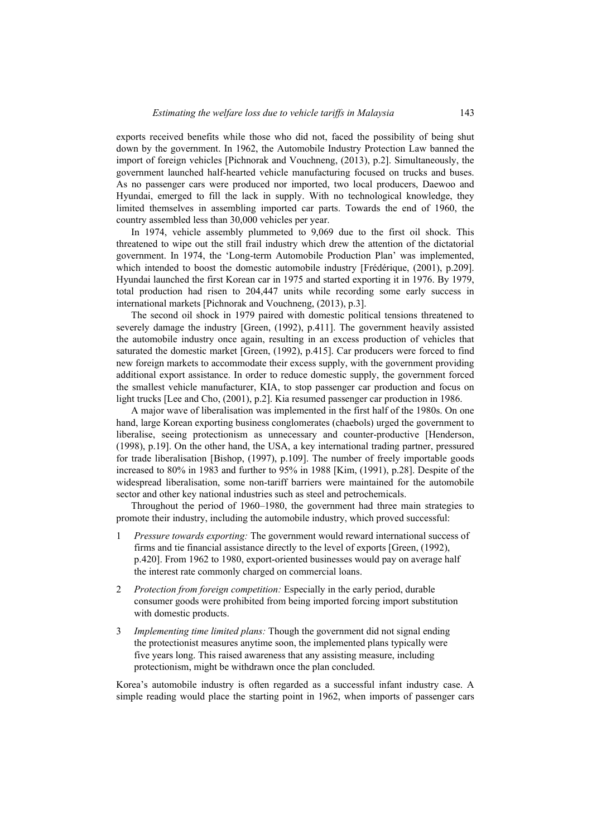exports received benefits while those who did not, faced the possibility of being shut down by the government. In 1962, the Automobile Industry Protection Law banned the import of foreign vehicles [Pichnorak and Vouchneng, (2013), p.2]. Simultaneously, the government launched half-hearted vehicle manufacturing focused on trucks and buses. As no passenger cars were produced nor imported, two local producers, Daewoo and Hyundai, emerged to fill the lack in supply. With no technological knowledge, they limited themselves in assembling imported car parts. Towards the end of 1960, the country assembled less than 30,000 vehicles per year.

In 1974, vehicle assembly plummeted to 9,069 due to the first oil shock. This threatened to wipe out the still frail industry which drew the attention of the dictatorial government. In 1974, the 'Long-term Automobile Production Plan' was implemented, which intended to boost the domestic automobile industry [Frédérique, (2001), p.209]. Hyundai launched the first Korean car in 1975 and started exporting it in 1976. By 1979, total production had risen to 204,447 units while recording some early success in international markets [Pichnorak and Vouchneng, (2013), p.3].

The second oil shock in 1979 paired with domestic political tensions threatened to severely damage the industry [Green, (1992), p.411]. The government heavily assisted the automobile industry once again, resulting in an excess production of vehicles that saturated the domestic market [Green, (1992), p.415]. Car producers were forced to find new foreign markets to accommodate their excess supply, with the government providing additional export assistance. In order to reduce domestic supply, the government forced the smallest vehicle manufacturer, KIA, to stop passenger car production and focus on light trucks [Lee and Cho, (2001), p.2]. Kia resumed passenger car production in 1986.

A major wave of liberalisation was implemented in the first half of the 1980s. On one hand, large Korean exporting business conglomerates (chaebols) urged the government to liberalise, seeing protectionism as unnecessary and counter-productive [Henderson, (1998), p.19]. On the other hand, the USA, a key international trading partner, pressured for trade liberalisation [Bishop, (1997), p.109]. The number of freely importable goods increased to 80% in 1983 and further to 95% in 1988 [Kim, (1991), p.28]. Despite of the widespread liberalisation, some non-tariff barriers were maintained for the automobile sector and other key national industries such as steel and petrochemicals.

Throughout the period of 1960–1980, the government had three main strategies to promote their industry, including the automobile industry, which proved successful:

- 1 *Pressure towards exporting:* The government would reward international success of firms and tie financial assistance directly to the level of exports [Green, (1992), p.420]. From 1962 to 1980, export-oriented businesses would pay on average half the interest rate commonly charged on commercial loans.
- 2 *Protection from foreign competition:* Especially in the early period, durable consumer goods were prohibited from being imported forcing import substitution with domestic products.
- 3 *Implementing time limited plans:* Though the government did not signal ending the protectionist measures anytime soon, the implemented plans typically were five years long. This raised awareness that any assisting measure, including protectionism, might be withdrawn once the plan concluded.

Korea's automobile industry is often regarded as a successful infant industry case. A simple reading would place the starting point in 1962, when imports of passenger cars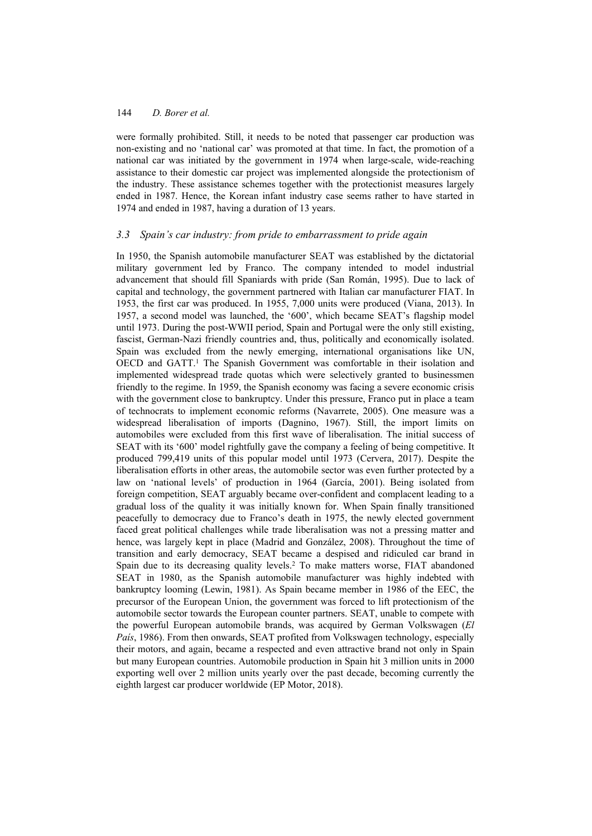were formally prohibited. Still, it needs to be noted that passenger car production was non-existing and no 'national car' was promoted at that time. In fact, the promotion of a national car was initiated by the government in 1974 when large-scale, wide-reaching assistance to their domestic car project was implemented alongside the protectionism of the industry. These assistance schemes together with the protectionist measures largely ended in 1987. Hence, the Korean infant industry case seems rather to have started in 1974 and ended in 1987, having a duration of 13 years.

# *3.3 Spain's car industry: from pride to embarrassment to pride again*

In 1950, the Spanish automobile manufacturer SEAT was established by the dictatorial military government led by Franco. The company intended to model industrial advancement that should fill Spaniards with pride (San Román, 1995). Due to lack of capital and technology, the government partnered with Italian car manufacturer FIAT. In 1953, the first car was produced. In 1955, 7,000 units were produced (Viana, 2013). In 1957, a second model was launched, the '600', which became SEAT's flagship model until 1973. During the post-WWII period, Spain and Portugal were the only still existing, fascist, German-Nazi friendly countries and, thus, politically and economically isolated. Spain was excluded from the newly emerging, international organisations like UN, OECD and GATT.<sup>1</sup> The Spanish Government was comfortable in their isolation and implemented widespread trade quotas which were selectively granted to businessmen friendly to the regime. In 1959, the Spanish economy was facing a severe economic crisis with the government close to bankruptcy. Under this pressure, Franco put in place a team of technocrats to implement economic reforms (Navarrete, 2005). One measure was a widespread liberalisation of imports (Dagnino, 1967). Still, the import limits on automobiles were excluded from this first wave of liberalisation. The initial success of SEAT with its '600' model rightfully gave the company a feeling of being competitive. It produced 799,419 units of this popular model until 1973 (Cervera, 2017). Despite the liberalisation efforts in other areas, the automobile sector was even further protected by a law on 'national levels' of production in 1964 (García, 2001). Being isolated from foreign competition, SEAT arguably became over-confident and complacent leading to a gradual loss of the quality it was initially known for. When Spain finally transitioned peacefully to democracy due to Franco's death in 1975, the newly elected government faced great political challenges while trade liberalisation was not a pressing matter and hence, was largely kept in place (Madrid and González, 2008). Throughout the time of transition and early democracy, SEAT became a despised and ridiculed car brand in Spain due to its decreasing quality levels.2 To make matters worse, FIAT abandoned SEAT in 1980, as the Spanish automobile manufacturer was highly indebted with bankruptcy looming (Lewin, 1981). As Spain became member in 1986 of the EEC, the precursor of the European Union, the government was forced to lift protectionism of the automobile sector towards the European counter partners. SEAT, unable to compete with the powerful European automobile brands, was acquired by German Volkswagen (*El País*, 1986). From then onwards, SEAT profited from Volkswagen technology, especially their motors, and again, became a respected and even attractive brand not only in Spain but many European countries. Automobile production in Spain hit 3 million units in 2000 exporting well over 2 million units yearly over the past decade, becoming currently the eighth largest car producer worldwide (EP Motor, 2018).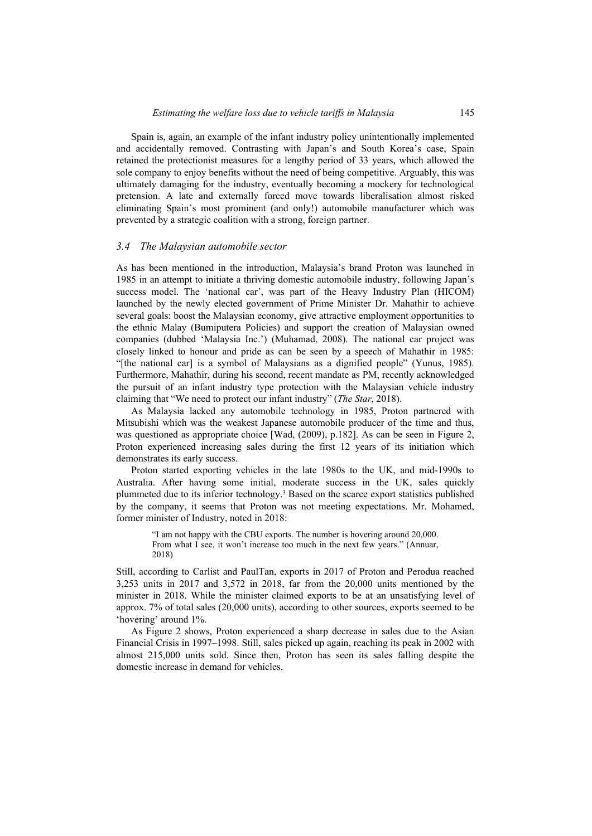Spain is, again, an example of the infant industry policy unintentionally implemented and accidentally removed. Contrasting with Japan's and South Korea's case, Spain retained the protectionist measures for a lengthy period of 33 years, which allowed the sole company to enjoy benefits without the need of being competitive. Arguably, this was ultimately damaging for the industry, eventually becoming a mockery for technological pretension. A late and externally forced move towards liberalisation almost risked eliminating Spain's most prominent (and only!) automobile manufacturer which was prevented by a strategic coalition with a strong, foreign partner.

#### *3.4 The Malaysian automobile sector*

As has been mentioned in the introduction, Malaysia's brand Proton was launched in 1985 in an attempt to initiate a thriving domestic automobile industry, following Japan's success model. The 'national car', was part of the Heavy Industry Plan (HICOM) launched by the newly elected government of Prime Minister Dr. Mahathir to achieve several goals: boost the Malaysian economy, give attractive employment opportunities to the ethnic Malay (Bumiputera Policies) and support the creation of Malaysian owned companies (dubbed 'Malaysia Inc.') (Muhamad, 2008). The national car project was closely linked to honour and pride as can be seen by a speech of Mahathir in 1985: "[the national car] is a symbol of Malaysians as a dignified people" (Yunus, 1985). Furthermore, Mahathir, during his second, recent mandate as PM, recently acknowledged the pursuit of an infant industry type protection with the Malaysian vehicle industry claiming that "We need to protect our infant industry" (*The Star*, 2018).

As Malaysia lacked any automobile technology in 1985, Proton partnered with Mitsubishi which was the weakest Japanese automobile producer of the time and thus, was questioned as appropriate choice [Wad, (2009), p.182]. As can be seen in Figure 2, Proton experienced increasing sales during the first 12 years of its initiation which demonstrates its early success.

Proton started exporting vehicles in the late 1980s to the UK, and mid-1990s to Australia. After having some initial, moderate success in the UK, sales quickly plummeted due to its inferior technology.3 Based on the scarce export statistics published by the company, it seems that Proton was not meeting expectations. Mr. Mohamed, former minister of Industry, noted in 2018:

"I am not happy with the CBU exports. The number is hovering around 20,000. From what I see, it won't increase too much in the next few years." (Annuar, 2018)

Still, according to Carlist and PaulTan, exports in 2017 of Proton and Perodua reached 3,253 units in 2017 and 3,572 in 2018, far from the 20,000 units mentioned by the minister in 2018. While the minister claimed exports to be at an unsatisfying level of approx. 7% of total sales (20,000 units), according to other sources, exports seemed to be 'hovering' around 1%.

As Figure 2 shows, Proton experienced a sharp decrease in sales due to the Asian Financial Crisis in 1997–1998. Still, sales picked up again, reaching its peak in 2002 with almost 215,000 units sold. Since then, Proton has seen its sales falling despite the domestic increase in demand for vehicles.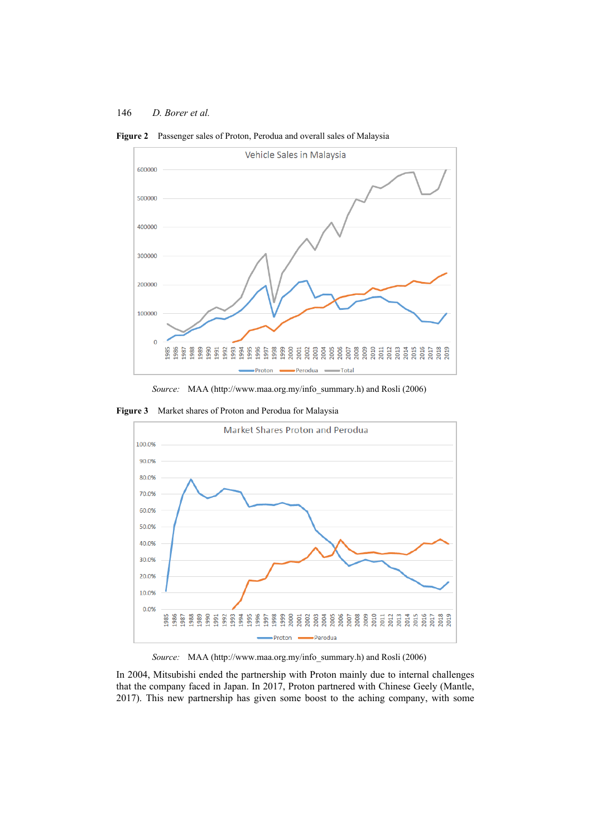

**Figure 2** Passenger sales of Proton, Perodua and overall sales of Malaysia

*Source:* MAA (http://www.maa.org.my/info\_summary.h) and Rosli (2006)

**Figure 3** Market shares of Proton and Perodua for Malaysia



*Source:* MAA (http://www.maa.org.my/info\_summary.h) and Rosli (2006)

In 2004, Mitsubishi ended the partnership with Proton mainly due to internal challenges that the company faced in Japan. In 2017, Proton partnered with Chinese Geely (Mantle, 2017). This new partnership has given some boost to the aching company, with some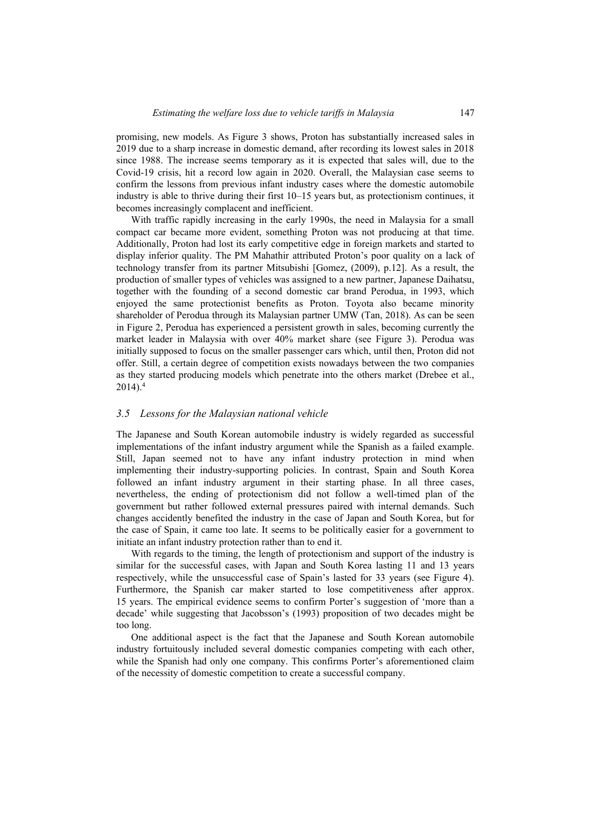promising, new models. As Figure 3 shows, Proton has substantially increased sales in 2019 due to a sharp increase in domestic demand, after recording its lowest sales in 2018 since 1988. The increase seems temporary as it is expected that sales will, due to the Covid-19 crisis, hit a record low again in 2020. Overall, the Malaysian case seems to confirm the lessons from previous infant industry cases where the domestic automobile industry is able to thrive during their first 10–15 years but, as protectionism continues, it becomes increasingly complacent and inefficient.

With traffic rapidly increasing in the early 1990s, the need in Malaysia for a small compact car became more evident, something Proton was not producing at that time. Additionally, Proton had lost its early competitive edge in foreign markets and started to display inferior quality. The PM Mahathir attributed Proton's poor quality on a lack of technology transfer from its partner Mitsubishi [Gomez, (2009), p.12]. As a result, the production of smaller types of vehicles was assigned to a new partner, Japanese Daihatsu, together with the founding of a second domestic car brand Perodua, in 1993, which enjoyed the same protectionist benefits as Proton. Toyota also became minority shareholder of Perodua through its Malaysian partner UMW (Tan, 2018). As can be seen in Figure 2, Perodua has experienced a persistent growth in sales, becoming currently the market leader in Malaysia with over 40% market share (see Figure 3). Perodua was initially supposed to focus on the smaller passenger cars which, until then, Proton did not offer. Still, a certain degree of competition exists nowadays between the two companies as they started producing models which penetrate into the others market (Drebee et al.,  $2014$ ).<sup>4</sup>

#### *3.5 Lessons for the Malaysian national vehicle*

The Japanese and South Korean automobile industry is widely regarded as successful implementations of the infant industry argument while the Spanish as a failed example. Still, Japan seemed not to have any infant industry protection in mind when implementing their industry-supporting policies. In contrast, Spain and South Korea followed an infant industry argument in their starting phase. In all three cases, nevertheless, the ending of protectionism did not follow a well-timed plan of the government but rather followed external pressures paired with internal demands. Such changes accidently benefited the industry in the case of Japan and South Korea, but for the case of Spain, it came too late. It seems to be politically easier for a government to initiate an infant industry protection rather than to end it.

With regards to the timing, the length of protectionism and support of the industry is similar for the successful cases, with Japan and South Korea lasting 11 and 13 years respectively, while the unsuccessful case of Spain's lasted for 33 years (see Figure 4). Furthermore, the Spanish car maker started to lose competitiveness after approx. 15 years. The empirical evidence seems to confirm Porter's suggestion of 'more than a decade' while suggesting that Jacobsson's (1993) proposition of two decades might be too long.

One additional aspect is the fact that the Japanese and South Korean automobile industry fortuitously included several domestic companies competing with each other, while the Spanish had only one company. This confirms Porter's aforementioned claim of the necessity of domestic competition to create a successful company.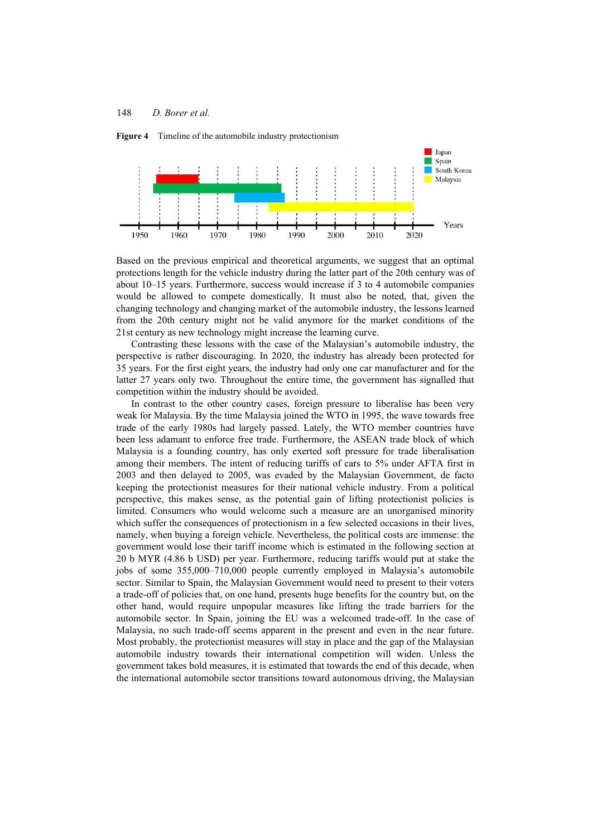**Figure 4** Timeline of the automobile industry protectionism



Based on the previous empirical and theoretical arguments, we suggest that an optimal protections length for the vehicle industry during the latter part of the 20th century was of about 10–15 years. Furthermore, success would increase if 3 to 4 automobile companies would be allowed to compete domestically. It must also be noted, that, given the changing technology and changing market of the automobile industry, the lessons learned from the 20th century might not be valid anymore for the market conditions of the 21st century as new technology might increase the learning curve.

Contrasting these lessons with the case of the Malaysian's automobile industry, the perspective is rather discouraging. In 2020, the industry has already been protected for 35 years. For the first eight years, the industry had only one car manufacturer and for the latter 27 years only two. Throughout the entire time, the government has signalled that competition within the industry should be avoided.

In contrast to the other country cases, foreign pressure to liberalise has been very weak for Malaysia. By the time Malaysia joined the WTO in 1995, the wave towards free trade of the early 1980s had largely passed. Lately, the WTO member countries have been less adamant to enforce free trade. Furthermore, the ASEAN trade block of which Malaysia is a founding country, has only exerted soft pressure for trade liberalisation among their members. The intent of reducing tariffs of cars to 5% under AFTA first in 2003 and then delayed to 2005, was evaded by the Malaysian Government, de facto keeping the protectionist measures for their national vehicle industry. From a political perspective, this makes sense, as the potential gain of lifting protectionist policies is limited. Consumers who would welcome such a measure are an unorganised minority which suffer the consequences of protectionism in a few selected occasions in their lives, namely, when buying a foreign vehicle. Nevertheless, the political costs are immense: the government would lose their tariff income which is estimated in the following section at 20 b MYR (4.86 b USD) per year. Furthermore, reducing tariffs would put at stake the jobs of some 355,000–710,000 people currently employed in Malaysia's automobile sector. Similar to Spain, the Malaysian Government would need to present to their voters a trade-off of policies that, on one hand, presents huge benefits for the country but, on the other hand, would require unpopular measures like lifting the trade barriers for the automobile sector. In Spain, joining the EU was a welcomed trade-off. In the case of Malaysia, no such trade-off seems apparent in the present and even in the near future. Most probably, the protectionist measures will stay in place and the gap of the Malaysian automobile industry towards their international competition will widen. Unless the government takes bold measures, it is estimated that towards the end of this decade, when the international automobile sector transitions toward autonomous driving, the Malaysian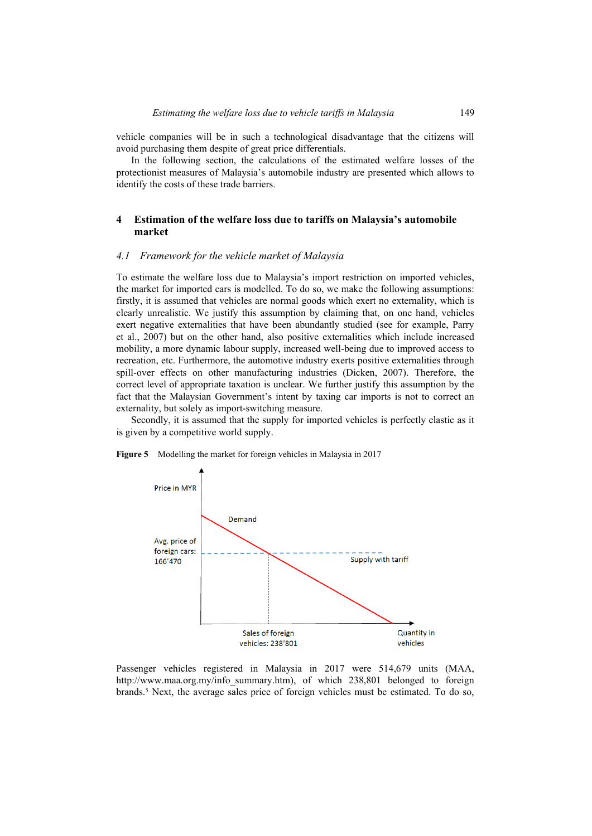vehicle companies will be in such a technological disadvantage that the citizens will avoid purchasing them despite of great price differentials.

In the following section, the calculations of the estimated welfare losses of the protectionist measures of Malaysia's automobile industry are presented which allows to identify the costs of these trade barriers.

## **4 Estimation of the welfare loss due to tariffs on Malaysia's automobile market**

#### *4.1 Framework for the vehicle market of Malaysia*

To estimate the welfare loss due to Malaysia's import restriction on imported vehicles, the market for imported cars is modelled. To do so, we make the following assumptions: firstly, it is assumed that vehicles are normal goods which exert no externality, which is clearly unrealistic. We justify this assumption by claiming that, on one hand, vehicles exert negative externalities that have been abundantly studied (see for example, Parry et al., 2007) but on the other hand, also positive externalities which include increased mobility, a more dynamic labour supply, increased well-being due to improved access to recreation, etc. Furthermore, the automotive industry exerts positive externalities through spill-over effects on other manufacturing industries (Dicken, 2007). Therefore, the correct level of appropriate taxation is unclear. We further justify this assumption by the fact that the Malaysian Government's intent by taxing car imports is not to correct an externality, but solely as import-switching measure.

Secondly, it is assumed that the supply for imported vehicles is perfectly elastic as it is given by a competitive world supply.



**Figure 5** Modelling the market for foreign vehicles in Malaysia in 2017

Passenger vehicles registered in Malaysia in 2017 were 514,679 units (MAA, http://www.maa.org.my/info\_summary.htm), of which 238,801 belonged to foreign brands.<sup>5</sup> Next, the average sales price of foreign vehicles must be estimated. To do so,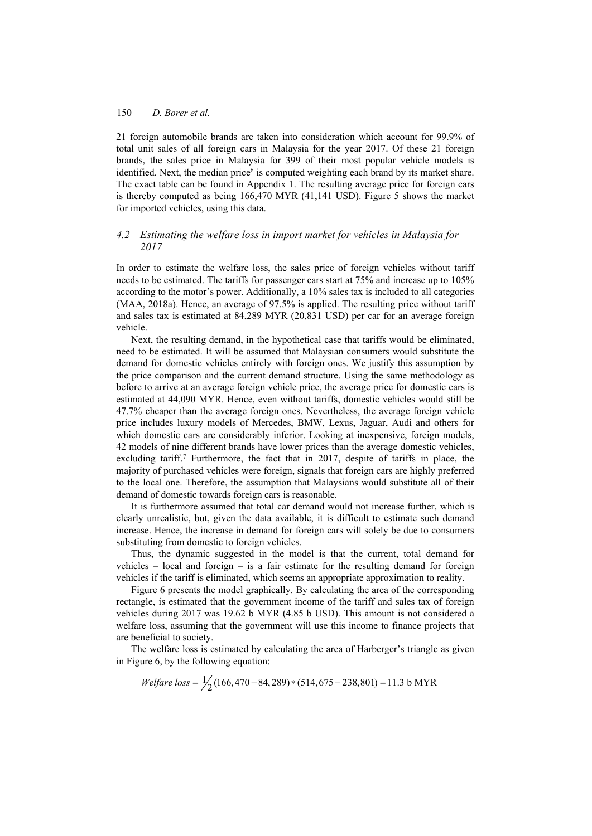21 foreign automobile brands are taken into consideration which account for 99.9% of total unit sales of all foreign cars in Malaysia for the year 2017. Of these 21 foreign brands, the sales price in Malaysia for 399 of their most popular vehicle models is identified. Next, the median price<sup>6</sup> is computed weighting each brand by its market share. The exact table can be found in Appendix 1. The resulting average price for foreign cars is thereby computed as being 166,470 MYR (41,141 USD). Figure 5 shows the market for imported vehicles, using this data.

# *4.2 Estimating the welfare loss in import market for vehicles in Malaysia for 2017*

In order to estimate the welfare loss, the sales price of foreign vehicles without tariff needs to be estimated. The tariffs for passenger cars start at 75% and increase up to 105% according to the motor's power. Additionally, a 10% sales tax is included to all categories (MAA, 2018a). Hence, an average of 97.5% is applied. The resulting price without tariff and sales tax is estimated at 84,289 MYR (20,831 USD) per car for an average foreign vehicle.

Next, the resulting demand, in the hypothetical case that tariffs would be eliminated, need to be estimated. It will be assumed that Malaysian consumers would substitute the demand for domestic vehicles entirely with foreign ones. We justify this assumption by the price comparison and the current demand structure. Using the same methodology as before to arrive at an average foreign vehicle price, the average price for domestic cars is estimated at 44,090 MYR. Hence, even without tariffs, domestic vehicles would still be 47.7% cheaper than the average foreign ones. Nevertheless, the average foreign vehicle price includes luxury models of Mercedes, BMW, Lexus, Jaguar, Audi and others for which domestic cars are considerably inferior. Looking at inexpensive, foreign models, 42 models of nine different brands have lower prices than the average domestic vehicles, excluding tariff.<sup>7</sup> Furthermore, the fact that in 2017, despite of tariffs in place, the majority of purchased vehicles were foreign, signals that foreign cars are highly preferred to the local one. Therefore, the assumption that Malaysians would substitute all of their demand of domestic towards foreign cars is reasonable.

It is furthermore assumed that total car demand would not increase further, which is clearly unrealistic, but, given the data available, it is difficult to estimate such demand increase. Hence, the increase in demand for foreign cars will solely be due to consumers substituting from domestic to foreign vehicles.

Thus, the dynamic suggested in the model is that the current, total demand for vehicles – local and foreign – is a fair estimate for the resulting demand for foreign vehicles if the tariff is eliminated, which seems an appropriate approximation to reality.

Figure 6 presents the model graphically. By calculating the area of the corresponding rectangle, is estimated that the government income of the tariff and sales tax of foreign vehicles during 2017 was 19.62 b MYR (4.85 b USD). This amount is not considered a welfare loss, assuming that the government will use this income to finance projects that are beneficial to society.

The welfare loss is estimated by calculating the area of Harberger's triangle as given in Figure 6, by the following equation:

*Welfare loss* = 
$$
\frac{1}{2}
$$
 (166,470 – 84,289) \* (514,675 – 238,801) = 11.3 b MYR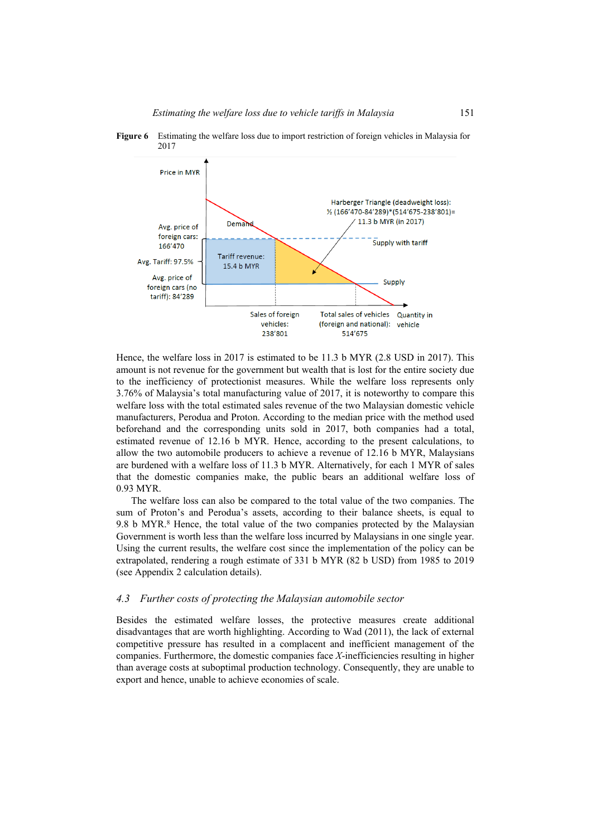

**Figure 6** Estimating the welfare loss due to import restriction of foreign vehicles in Malaysia for 2017

Hence, the welfare loss in 2017 is estimated to be 11.3 b MYR (2.8 USD in 2017). This amount is not revenue for the government but wealth that is lost for the entire society due to the inefficiency of protectionist measures. While the welfare loss represents only 3.76% of Malaysia's total manufacturing value of 2017, it is noteworthy to compare this welfare loss with the total estimated sales revenue of the two Malaysian domestic vehicle manufacturers, Perodua and Proton. According to the median price with the method used beforehand and the corresponding units sold in 2017, both companies had a total, estimated revenue of 12.16 b MYR. Hence, according to the present calculations, to allow the two automobile producers to achieve a revenue of 12.16 b MYR, Malaysians are burdened with a welfare loss of 11.3 b MYR. Alternatively, for each 1 MYR of sales that the domestic companies make, the public bears an additional welfare loss of 0.93 MYR.

The welfare loss can also be compared to the total value of the two companies. The sum of Proton's and Perodua's assets, according to their balance sheets, is equal to 9.8 b MYR.<sup>8</sup> Hence, the total value of the two companies protected by the Malaysian Government is worth less than the welfare loss incurred by Malaysians in one single year. Using the current results, the welfare cost since the implementation of the policy can be extrapolated, rendering a rough estimate of 331 b MYR (82 b USD) from 1985 to 2019 (see Appendix 2 calculation details).

## *4.3 Further costs of protecting the Malaysian automobile sector*

Besides the estimated welfare losses, the protective measures create additional disadvantages that are worth highlighting. According to Wad (2011), the lack of external competitive pressure has resulted in a complacent and inefficient management of the companies. Furthermore, the domestic companies face *X*-inefficiencies resulting in higher than average costs at suboptimal production technology. Consequently, they are unable to export and hence, unable to achieve economies of scale.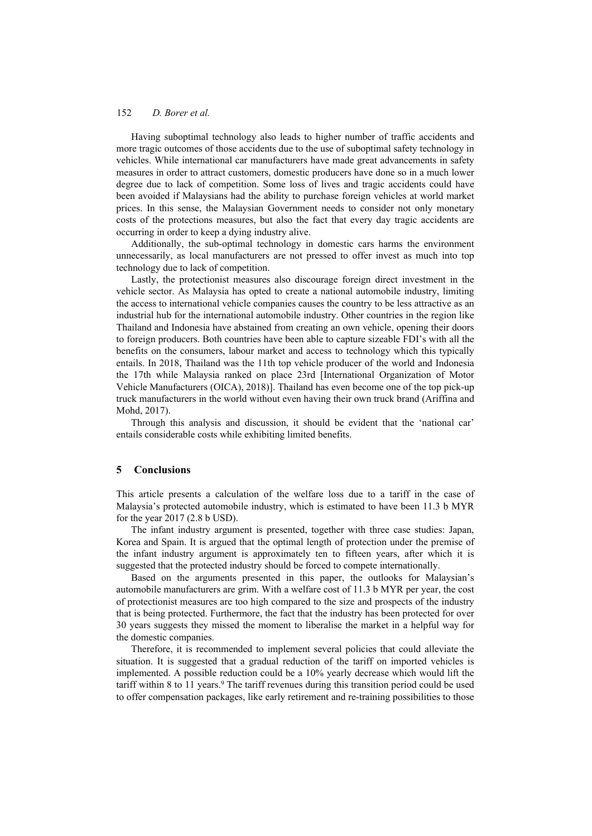Having suboptimal technology also leads to higher number of traffic accidents and more tragic outcomes of those accidents due to the use of suboptimal safety technology in vehicles. While international car manufacturers have made great advancements in safety measures in order to attract customers, domestic producers have done so in a much lower degree due to lack of competition. Some loss of lives and tragic accidents could have been avoided if Malaysians had the ability to purchase foreign vehicles at world market prices. In this sense, the Malaysian Government needs to consider not only monetary costs of the protections measures, but also the fact that every day tragic accidents are occurring in order to keep a dying industry alive.

Additionally, the sub-optimal technology in domestic cars harms the environment unnecessarily, as local manufacturers are not pressed to offer invest as much into top technology due to lack of competition.

Lastly, the protectionist measures also discourage foreign direct investment in the vehicle sector. As Malaysia has opted to create a national automobile industry, limiting the access to international vehicle companies causes the country to be less attractive as an industrial hub for the international automobile industry. Other countries in the region like Thailand and Indonesia have abstained from creating an own vehicle, opening their doors to foreign producers. Both countries have been able to capture sizeable FDI's with all the benefits on the consumers, labour market and access to technology which this typically entails. In 2018, Thailand was the 11th top vehicle producer of the world and Indonesia the 17th while Malaysia ranked on place 23rd [International Organization of Motor Vehicle Manufacturers (OICA), 2018)]. Thailand has even become one of the top pick-up truck manufacturers in the world without even having their own truck brand (Ariffina and Mohd, 2017).

Through this analysis and discussion, it should be evident that the 'national car' entails considerable costs while exhibiting limited benefits.

#### **5 Conclusions**

This article presents a calculation of the welfare loss due to a tariff in the case of Malaysia's protected automobile industry, which is estimated to have been 11.3 b MYR for the year 2017 (2.8 b USD).

The infant industry argument is presented, together with three case studies: Japan, Korea and Spain. It is argued that the optimal length of protection under the premise of the infant industry argument is approximately ten to fifteen years, after which it is suggested that the protected industry should be forced to compete internationally.

Based on the arguments presented in this paper, the outlooks for Malaysian's automobile manufacturers are grim. With a welfare cost of 11.3 b MYR per year, the cost of protectionist measures are too high compared to the size and prospects of the industry that is being protected. Furthermore, the fact that the industry has been protected for over 30 years suggests they missed the moment to liberalise the market in a helpful way for the domestic companies.

Therefore, it is recommended to implement several policies that could alleviate the situation. It is suggested that a gradual reduction of the tariff on imported vehicles is implemented. A possible reduction could be a 10% yearly decrease which would lift the tariff within 8 to 11 years.<sup>9</sup> The tariff revenues during this transition period could be used to offer compensation packages, like early retirement and re-training possibilities to those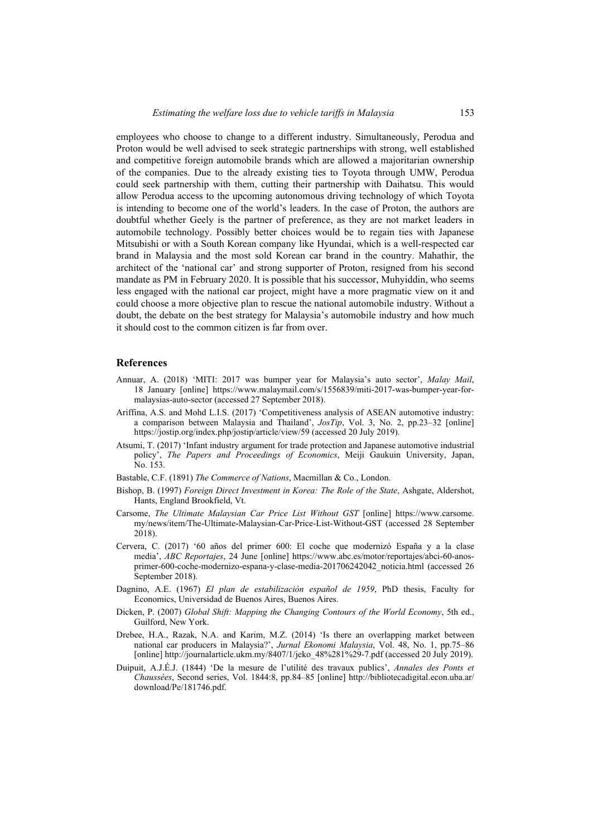employees who choose to change to a different industry. Simultaneously, Perodua and Proton would be well advised to seek strategic partnerships with strong, well established and competitive foreign automobile brands which are allowed a majoritarian ownership of the companies. Due to the already existing ties to Toyota through UMW, Perodua could seek partnership with them, cutting their partnership with Daihatsu. This would allow Perodua access to the upcoming autonomous driving technology of which Toyota is intending to become one of the world's leaders. In the case of Proton, the authors are doubtful whether Geely is the partner of preference, as they are not market leaders in automobile technology. Possibly better choices would be to regain ties with Japanese Mitsubishi or with a South Korean company like Hyundai, which is a well-respected car brand in Malaysia and the most sold Korean car brand in the country. Mahathir, the architect of the 'national car' and strong supporter of Proton, resigned from his second mandate as PM in February 2020. It is possible that his successor, Muhyiddin, who seems less engaged with the national car project, might have a more pragmatic view on it and could choose a more objective plan to rescue the national automobile industry. Without a doubt, the debate on the best strategy for Malaysia's automobile industry and how much it should cost to the common citizen is far from over.

#### **References**

- Annuar, A. (2018) 'MITI: 2017 was bumper year for Malaysia's auto sector', *Malay Mail*, 18 January [online] https://www.malaymail.com/s/1556839/miti-2017-was-bumper-year-formalaysias-auto-sector (accessed 27 September 2018).
- Ariffina, A.S. and Mohd L.I.S. (2017) 'Competitiveness analysis of ASEAN automotive industry: a comparison between Malaysia and Thailand', *JosTip*, Vol. 3, No. 2, pp.23–32 [online] https://jostip.org/index.php/jostip/article/view/59 (accessed 20 July 2019).
- Atsumi, T. (2017) 'Infant industry argument for trade protection and Japanese automotive industrial policy', *The Papers and Proceedings of Economics*, Meiji Gaukuin University, Japan, No. 153.
- Bastable, C.F. (1891) *The Commerce of Nations*, Macmillan & Co., London.
- Bishop, B. (1997) *Foreign Direct Investment in Korea: The Role of the State*, Ashgate, Aldershot, Hants, England Brookfield, Vt.
- Carsome, *The Ultimate Malaysian Car Price List Without GST* [online] https://www.carsome. my/news/item/The-Ultimate-Malaysian-Car-Price-List-Without-GST (accessed 28 September 2018).
- Cervera, C. (2017) '60 años del primer 600: El coche que modernizó España y a la clase media', *ABC Reportajes*, 24 June [online] https://www.abc.es/motor/reportajes/abci-60-anosprimer-600-coche-modernizo-espana-y-clase-media-201706242042\_noticia.html (accessed 26 September 2018).
- Dagnino, A.E. (1967) *El plan de estabilización español de 1959*, PhD thesis, Faculty for Economics, Universidad de Buenos Aires, Buenos Aires.
- Dicken, P. (2007) *Global Shift: Mapping the Changing Contours of the World Economy*, 5th ed., Guilford, New York.
- Drebee, H.A., Razak, N.A. and Karim, M.Z. (2014) 'Is there an overlapping market between national car producers in Malaysia?', *Jurnal Ekonomi Malaysia*, Vol. 48, No. 1, pp.75–86 [online] http://journalarticle.ukm.my/8407/1/jeko\_48%281%29-7.pdf (accessed 20 July 2019).
- Duipuit, A.J.É.J. (1844) 'De la mesure de l'utilité des travaux publics', *Annales des Ponts et Chaussées*, Second series, Vol. 1844:8, pp.84–85 [online] http://bibliotecadigital.econ.uba.ar/ download/Pe/181746.pdf.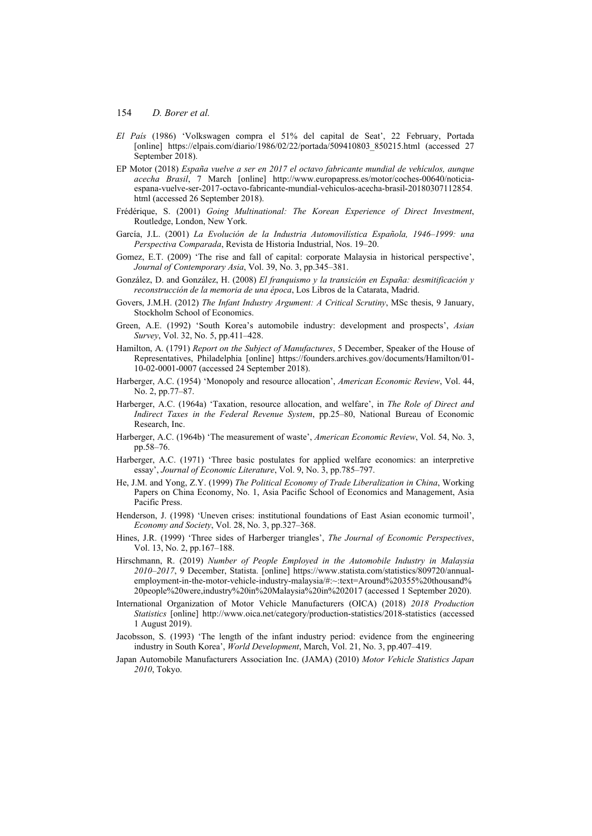- *El País* (1986) 'Volkswagen compra el 51% del capital de Seat', 22 February, Portada [online] https://elpais.com/diario/1986/02/22/portada/509410803 850215.html (accessed 27 September 2018).
- EP Motor (2018) *España vuelve a ser en 2017 el octavo fabricante mundial de vehículos, aunque acecha Brasil*, 7 March [online] http://www.europapress.es/motor/coches-00640/noticiaespana-vuelve-ser-2017-octavo-fabricante-mundial-vehiculos-acecha-brasil-20180307112854. html (accessed 26 September 2018).
- Frédérique, S. (2001) *Going Multinational: The Korean Experience of Direct Investment*, Routledge, London, New York.
- García, J.L. (2001) *La Evolución de la Industria Automovilística Española, 1946–1999: una Perspectiva Comparada*, Revista de Historia Industrial, Nos. 19–20.
- Gomez, E.T. (2009) 'The rise and fall of capital: corporate Malaysia in historical perspective', *Journal of Contemporary Asia*, Vol. 39, No. 3, pp.345–381.
- González, D. and González, H. (2008) *El franquismo y la transición en España: desmitificación y reconstrucción de la memoria de una época*, Los Libros de la Catarata, Madrid.
- Govers, J.M.H. (2012) *The Infant Industry Argument: A Critical Scrutiny*, MSc thesis, 9 January, Stockholm School of Economics.
- Green, A.E. (1992) 'South Korea's automobile industry: development and prospects', *Asian Survey*, Vol. 32, No. 5, pp.411–428.
- Hamilton, A. (1791) *Report on the Subject of Manufactures*, 5 December, Speaker of the House of Representatives, Philadelphia [online] https://founders.archives.gov/documents/Hamilton/01- 10-02-0001-0007 (accessed 24 September 2018).
- Harberger, A.C. (1954) 'Monopoly and resource allocation', *American Economic Review*, Vol. 44, No. 2, pp.77–87.
- Harberger, A.C. (1964a) 'Taxation, resource allocation, and welfare', in *The Role of Direct and Indirect Taxes in the Federal Revenue System*, pp.25–80, National Bureau of Economic Research, Inc.
- Harberger, A.C. (1964b) 'The measurement of waste', *American Economic Review*, Vol. 54, No. 3, pp.58–76.
- Harberger, A.C. (1971) 'Three basic postulates for applied welfare economics: an interpretive essay', *Journal of Economic Literature*, Vol. 9, No. 3, pp.785–797.
- He, J.M. and Yong, Z.Y. (1999) *The Political Economy of Trade Liberalization in China*, Working Papers on China Economy, No. 1, Asia Pacific School of Economics and Management, Asia Pacific Press.
- Henderson, J. (1998) 'Uneven crises: institutional foundations of East Asian economic turmoil', *Economy and Society*, Vol. 28, No. 3, pp.327–368.
- Hines, J.R. (1999) 'Three sides of Harberger triangles', *The Journal of Economic Perspectives*, Vol. 13, No. 2, pp.167–188.
- Hirschmann, R. (2019) *Number of People Employed in the Automobile Industry in Malaysia 2010–2017*, 9 December, Statista. [online] https://www.statista.com/statistics/809720/annualemployment-in-the-motor-vehicle-industry-malaysia/#:~:text=Around%20355%20thousand% 20people%20were,industry%20in%20Malaysia%20in%202017 (accessed 1 September 2020).
- International Organization of Motor Vehicle Manufacturers (OICA) (2018) *2018 Production Statistics* [online] http://www.oica.net/category/production-statistics/2018-statistics (accessed 1 August 2019).
- Jacobsson, S. (1993) 'The length of the infant industry period: evidence from the engineering industry in South Korea', *World Development*, March, Vol. 21, No. 3, pp.407–419.
- Japan Automobile Manufacturers Association Inc. (JAMA) (2010) *Motor Vehicle Statistics Japan 2010*, Tokyo.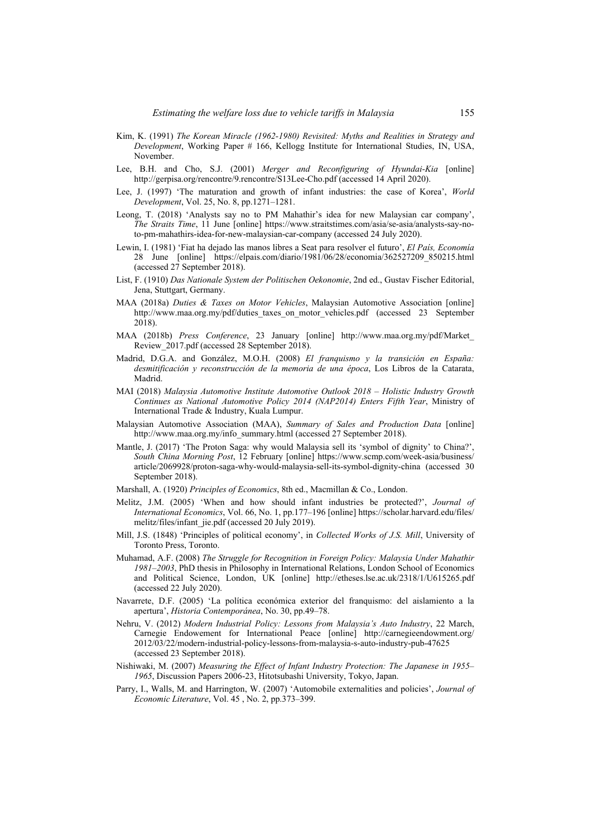- Kim, K. (1991) *The Korean Miracle (1962-1980) Revisited: Myths and Realities in Strategy and Development*, Working Paper # 166, Kellogg Institute for International Studies, IN, USA, November.
- Lee, B.H. and Cho, S.J. (2001) *Merger and Reconfiguring of Hyundai-Kia* [online] http://gerpisa.org/rencontre/9.rencontre/S13Lee-Cho.pdf (accessed 14 April 2020).
- Lee, J. (1997) 'The maturation and growth of infant industries: the case of Korea', *World Development*, Vol. 25, No. 8, pp.1271–1281.
- Leong, T. (2018) 'Analysts say no to PM Mahathir's idea for new Malaysian car company', *The Straits Time*, 11 June [online] https://www.straitstimes.com/asia/se-asia/analysts-say-noto-pm-mahathirs-idea-for-new-malaysian-car-company (accessed 24 July 2020).
- Lewin, I. (1981) 'Fiat ha dejado las manos libres a Seat para resolver el futuro', *El País, Economía* 28 June [online] https://elpais.com/diario/1981/06/28/economia/362527209\_850215.html (accessed 27 September 2018).
- List, F. (1910) *Das Nationale System der Politischen Oekonomie*, 2nd ed., Gustav Fischer Editorial, Jena, Stuttgart, Germany.
- MAA (2018a) *Duties & Taxes on Motor Vehicles*, Malaysian Automotive Association [online] http://www.maa.org.my/pdf/duties taxes on motor vehicles.pdf (accessed 23 September 2018).
- MAA (2018b) *Press Conference*, 23 January [online] http://www.maa.org.my/pdf/Market\_ Review\_2017.pdf (accessed 28 September 2018).
- Madrid, D.G.A. and González, M.O.H. (2008) *El franquismo y la transición en España: desmitificación y reconstrucción de la memoria de una época*, Los Libros de la Catarata, Madrid.
- MAI (2018) *Malaysia Automotive Institute Automotive Outlook 2018 Holistic Industry Growth Continues as National Automotive Policy 2014 (NAP2014) Enters Fifth Year*, Ministry of International Trade & Industry, Kuala Lumpur.
- Malaysian Automotive Association (MAA), *Summary of Sales and Production Data* [online] http://www.maa.org.my/info\_summary.html (accessed 27 September 2018).
- Mantle, J. (2017) 'The Proton Saga: why would Malaysia sell its 'symbol of dignity' to China?', *South China Morning Post*, 12 February [online] https://www.scmp.com/week-asia/business/ article/2069928/proton-saga-why-would-malaysia-sell-its-symbol-dignity-china (accessed 30 September 2018).
- Marshall, A. (1920) *Principles of Economics*, 8th ed., Macmillan & Co., London.
- Melitz, J.M. (2005) 'When and how should infant industries be protected?', *Journal of International Economics*, Vol. 66, No. 1, pp.177–196 [online] https://scholar.harvard.edu/files/ melitz/files/infant\_jie.pdf (accessed 20 July 2019).
- Mill, J.S. (1848) 'Principles of political economy', in *Collected Works of J.S. Mill*, University of Toronto Press, Toronto.
- Muhamad, A.F. (2008) *The Struggle for Recognition in Foreign Policy: Malaysia Under Mahathir 1981–2003*, PhD thesis in Philosophy in International Relations, London School of Economics and Political Science, London, UK [online] http://etheses.lse.ac.uk/2318/1/U615265.pdf (accessed 22 July 2020).
- Navarrete, D.F. (2005) 'La política económica exterior del franquismo: del aislamiento a la apertura', *Historia Contemporánea*, No. 30, pp.49–78.
- Nehru, V. (2012) *Modern Industrial Policy: Lessons from Malaysia's Auto Industry*, 22 March, Carnegie Endowement for International Peace [online] http://carnegieendowment.org/ 2012/03/22/modern-industrial-policy-lessons-from-malaysia-s-auto-industry-pub-47625 (accessed 23 September 2018).
- Nishiwaki, M. (2007) *Measuring the Effect of Infant Industry Protection: The Japanese in 1955– 1965*, Discussion Papers 2006-23, Hitotsubashi University, Tokyo, Japan.
- Parry, I., Walls, M. and Harrington, W. (2007) 'Automobile externalities and policies', *Journal of Economic Literature*, Vol. 45 , No. 2, pp.373–399.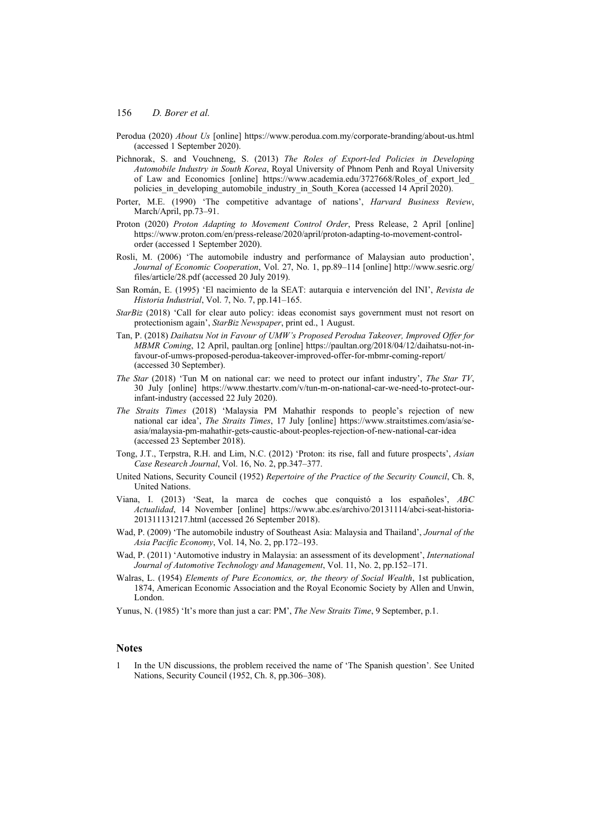- Perodua (2020) *About Us* [online] https://www.perodua.com.my/corporate-branding/about-us.html (accessed 1 September 2020).
- Pichnorak, S. and Vouchneng, S. (2013) *The Roles of Export-led Policies in Developing Automobile Industry in South Korea*, Royal University of Phnom Penh and Royal University of Law and Economics [online] https://www.academia.edu/3727668/Roles of export led policies in developing automobile industry in South Korea (accessed 14 April 2020).
- Porter, M.E. (1990) 'The competitive advantage of nations', *Harvard Business Review*, March/April, pp.73–91.
- Proton (2020) *Proton Adapting to Movement Control Order*, Press Release, 2 April [online] https://www.proton.com/en/press-release/2020/april/proton-adapting-to-movement-controlorder (accessed 1 September 2020).
- Rosli, M. (2006) 'The automobile industry and performance of Malaysian auto production', *Journal of Economic Cooperation*, Vol. 27, No. 1, pp.89–114 [online] http://www.sesric.org/ files/article/28.pdf (accessed 20 July 2019).
- San Román, E. (1995) 'El nacimiento de la SEAT: autarquia e intervención del INI', *Revista de Historia Industrial*, Vol. 7, No. 7, pp.141–165.
- *StarBiz* (2018) 'Call for clear auto policy: ideas economist says government must not resort on protectionism again', *StarBiz Newspaper*, print ed., 1 August.
- Tan, P. (2018) *Daihatsu Not in Favour of UMW's Proposed Perodua Takeover, Improved Offer for MBMR Coming*, 12 April, paultan.org [online] https://paultan.org/2018/04/12/daihatsu-not-infavour-of-umws-proposed-perodua-takeover-improved-offer-for-mbmr-coming-report/ (accessed 30 September).
- *The Star* (2018) 'Tun M on national car: we need to protect our infant industry', *The Star TV*, 30 July [online] https://www.thestartv.com/v/tun-m-on-national-car-we-need-to-protect-ourinfant-industry (accessed 22 July 2020).
- *The Straits Times* (2018) 'Malaysia PM Mahathir responds to people's rejection of new national car idea', *The Straits Times*, 17 July [online] https://www.straitstimes.com/asia/seasia/malaysia-pm-mahathir-gets-caustic-about-peoples-rejection-of-new-national-car-idea (accessed 23 September 2018).
- Tong, J.T., Terpstra, R.H. and Lim, N.C. (2012) 'Proton: its rise, fall and future prospects', *Asian Case Research Journal*, Vol. 16, No. 2, pp.347–377.
- United Nations, Security Council (1952) *Repertoire of the Practice of the Security Council*, Ch. 8, United Nations.
- Viana, I. (2013) 'Seat, la marca de coches que conquistó a los españoles', *ABC Actualidad*, 14 November [online] https://www.abc.es/archivo/20131114/abci-seat-historia-201311131217.html (accessed 26 September 2018).
- Wad, P. (2009) 'The automobile industry of Southeast Asia: Malaysia and Thailand', *Journal of the Asia Pacific Economy*, Vol. 14, No. 2, pp.172–193.
- Wad, P. (2011) 'Automotive industry in Malaysia: an assessment of its development', *International Journal of Automotive Technology and Management*, Vol. 11, No. 2, pp.152–171.
- Walras, L. (1954) *Elements of Pure Economics, or, the theory of Social Wealth*, 1st publication, 1874, American Economic Association and the Royal Economic Society by Allen and Unwin, London.

Yunus, N. (1985) 'It's more than just a car: PM', *The New Straits Time*, 9 September, p.1.

### **Notes**

1 In the UN discussions, the problem received the name of 'The Spanish question'. See United Nations, Security Council (1952, Ch. 8, pp.306–308).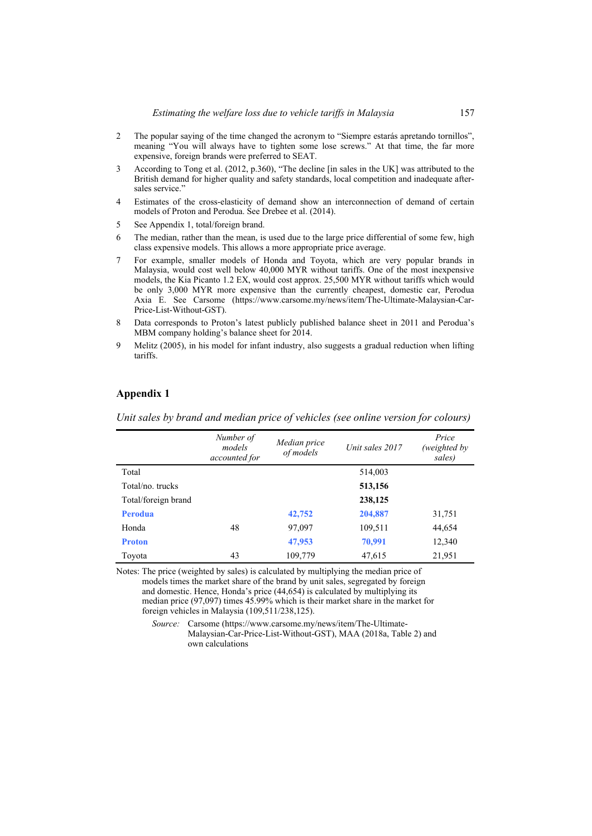- 2 The popular saying of the time changed the acronym to "Siempre estarás apretando tornillos", meaning "You will always have to tighten some lose screws." At that time, the far more expensive, foreign brands were preferred to SEAT.
- 3 According to Tong et al. (2012, p.360), "The decline [in sales in the UK] was attributed to the British demand for higher quality and safety standards, local competition and inadequate aftersales service."
- 4 Estimates of the cross-elasticity of demand show an interconnection of demand of certain models of Proton and Perodua. See Drebee et al. (2014).
- 5 See Appendix 1, total/foreign brand.
- 6 The median, rather than the mean, is used due to the large price differential of some few, high class expensive models. This allows a more appropriate price average.
- 7 For example, smaller models of Honda and Toyota, which are very popular brands in Malaysia, would cost well below 40,000 MYR without tariffs. One of the most inexpensive models, the Kia Picanto 1.2 EX, would cost approx. 25,500 MYR without tariffs which would be only 3,000 MYR more expensive than the currently cheapest, domestic car, Perodua Axia E. See Carsome (https://www.carsome.my/news/item/The-Ultimate-Malaysian-Car-Price-List-Without-GST).
- 8 Data corresponds to Proton's latest publicly published balance sheet in 2011 and Perodua's MBM company holding's balance sheet for 2014.
- 9 Melitz (2005), in his model for infant industry, also suggests a gradual reduction when lifting tariffs.

## **Appendix 1**

 *Number of models accounted for Median price of models Unit sales 2017 Price (weighted by sales)*  Total 514,003 Total/no. trucks **513,156**  Total/foreign brand **238,125 Perodua 42,752 204,887** 31,751 Honda 48 97,097 109,511 44,654 **Proton 12,340 12,340** 

Toyota 43 109,779 47,615 21,951

*Unit sales by brand and median price of vehicles (see online version for colours)* 

Notes: The price (weighted by sales) is calculated by multiplying the median price of models times the market share of the brand by unit sales, segregated by foreign and domestic. Hence, Honda's price (44,654) is calculated by multiplying its median price (97,097) times 45.99% which is their market share in the market for foreign vehicles in Malaysia (109,511/238,125).

> *Source:* Carsome (https://www.carsome.my/news/item/The-Ultimate-Malaysian-Car-Price-List-Without-GST), MAA (2018a, Table 2) and own calculations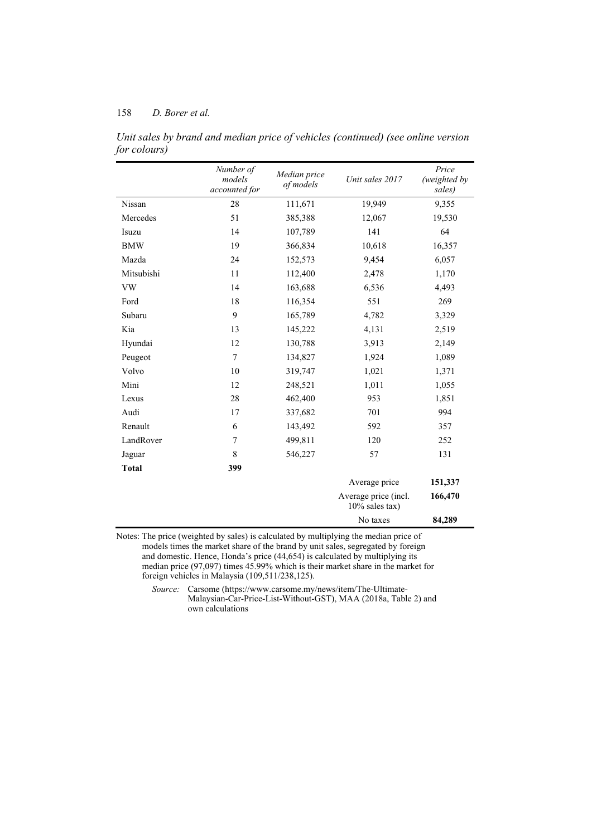|              | Number of<br>models<br>accounted for | Median price<br>of models | Unit sales 2017                           | Price<br>(weighted by<br>sales) |
|--------------|--------------------------------------|---------------------------|-------------------------------------------|---------------------------------|
| Nissan       | 28                                   | 111,671                   | 19,949                                    | 9,355                           |
| Mercedes     | 51                                   | 385,388                   | 12,067                                    | 19,530                          |
| Isuzu        | 14                                   | 107,789                   | 141                                       | 64                              |
| <b>BMW</b>   | 19                                   | 366,834                   | 10,618                                    | 16,357                          |
| Mazda        | 24                                   | 152,573                   | 9,454                                     | 6,057                           |
| Mitsubishi   | 11                                   | 112,400                   | 2,478                                     | 1,170                           |
| <b>VW</b>    | 14                                   | 163,688                   | 6,536                                     | 4,493                           |
| Ford         | 18                                   | 116,354                   | 551                                       | 269                             |
| Subaru       | 9                                    | 165,789                   | 4,782                                     | 3,329                           |
| Kia          | 13                                   | 145,222                   | 4,131                                     | 2,519                           |
| Hyundai      | 12                                   | 130,788                   | 3,913                                     | 2,149                           |
| Peugeot      | 7<br>10                              | 134,827                   | 1,924                                     | 1,089                           |
| Volvo        |                                      | 319,747                   | 1,021                                     | 1,371                           |
| Mini         | 12                                   | 248,521                   | 1,011                                     | 1,055                           |
| Lexus        | 28                                   | 462,400                   | 953                                       | 1,851                           |
| Audi         | 17                                   | 337,682                   | 701                                       | 994                             |
| Renault      | 6                                    | 143,492                   | 592                                       | 357                             |
| LandRover    | 7                                    | 499,811                   | 120                                       | 252                             |
| Jaguar       | 8                                    | 546,227                   | 57                                        | 131                             |
| <b>Total</b> | 399                                  |                           |                                           |                                 |
|              |                                      |                           | Average price                             | 151,337                         |
|              |                                      |                           | Average price (incl.<br>$10\%$ sales tax) | 166,470                         |
|              |                                      |                           | No taxes                                  | 84,289                          |

*Unit sales by brand and median price of vehicles (continued) (see online version for colours)* 

Notes: The price (weighted by sales) is calculated by multiplying the median price of models times the market share of the brand by unit sales, segregated by foreign and domestic. Hence, Honda's price (44,654) is calculated by multiplying its median price (97,097) times 45.99% which is their market share in the market for foreign vehicles in Malaysia (109,511/238,125).

> *Source:* Carsome (https://www.carsome.my/news/item/The-Ultimate-Malaysian-Car-Price-List-Without-GST), MAA (2018a, Table 2) and own calculations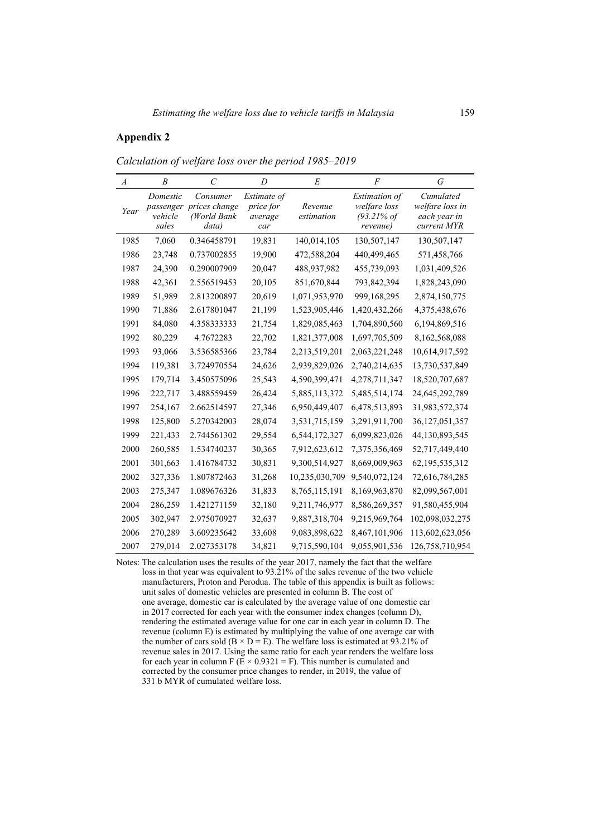## **Appendix 2**

| $\overline{A}$ | B                                         | C                                                 | D                                          | E                     | F                                                                          | G                                                           |
|----------------|-------------------------------------------|---------------------------------------------------|--------------------------------------------|-----------------------|----------------------------------------------------------------------------|-------------------------------------------------------------|
| Year           | Domestic<br>passenger<br>vehicle<br>sales | Consumer<br>prices change<br>(World Bank<br>data) | Estimate of<br>price for<br>average<br>car | Revenue<br>estimation | <i>Estimation of</i><br>welfare loss<br>$(93.21\% \text{ of }$<br>revenue) | Cumulated<br>welfare loss in<br>each year in<br>current MYR |
| 1985           | 7,060                                     | 0.346458791                                       | 19,831                                     | 140,014,105           | 130,507,147                                                                | 130,507,147                                                 |
| 1986           | 23,748                                    | 0.737002855                                       | 19,900                                     | 472,588,204           | 440,499,465                                                                | 571,458,766                                                 |
| 1987           | 24,390                                    | 0.290007909                                       | 20,047                                     | 488,937,982           | 455,739,093                                                                | 1,031,409,526                                               |
| 1988           | 42,361                                    | 2.556519453                                       | 20,105                                     | 851,670,844           | 793,842,394                                                                | 1,828,243,090                                               |
| 1989           | 51,989                                    | 2.813200897                                       | 20,619                                     | 1,071,953,970         | 999,168,295                                                                | 2,874,150,775                                               |
| 1990           | 71,886                                    | 2.617801047                                       | 21,199                                     | 1,523,905,446         | 1,420,432,266                                                              | 4,375,438,676                                               |
| 1991           | 84,080                                    | 4.358333333                                       | 21,754                                     | 1,829,085,463         | 1,704,890,560                                                              | 6,194,869,516                                               |
| 1992           | 80,229                                    | 4.7672283                                         | 22,702                                     | 1,821,377,008         | 1,697,705,509                                                              | 8,162,568,088                                               |
| 1993           | 93,066                                    | 3.536585366                                       | 23,784                                     | 2,213,519,201         | 2,063,221,248                                                              | 10,614,917,592                                              |
| 1994           | 119,381                                   | 3.724970554                                       | 24,626                                     | 2,939,829,026         | 2,740,214,635                                                              | 13,730,537,849                                              |
| 1995           | 179,714                                   | 3.450575096                                       | 25,543                                     | 4,590,399,471         | 4,278,711,347                                                              | 18,520,707,687                                              |
| 1996           | 222,717                                   | 3.488559459                                       | 26,424                                     | 5,885,113,372         | 5,485,514,174                                                              | 24,645,292,789                                              |
| 1997           | 254,167                                   | 2.662514597                                       | 27,346                                     | 6,950,449,407         | 6,478,513,893                                                              | 31,983,572,374                                              |
| 1998           | 125,800                                   | 5.270342003                                       | 28,074                                     | 3,531,715,159         | 3,291,911,700                                                              | 36, 127, 051, 357                                           |
| 1999           | 221,433                                   | 2.744561302                                       | 29,554                                     | 6,544,172,327         | 6,099,823,026                                                              | 44,130,893,545                                              |
| 2000           | 260,585                                   | 1.534740237                                       | 30,365                                     | 7,912,623,612         | 7,375,356,469                                                              | 52,717,449,440                                              |
| 2001           | 301,663                                   | 1.416784732                                       | 30,831                                     | 9,300,514,927         | 8,669,009,963                                                              | 62, 195, 535, 312                                           |
| 2002           | 327,336                                   | 1.807872463                                       | 31,268                                     | 10,235,030,709        | 9,540,072,124                                                              | 72,616,784,285                                              |
| 2003           | 275,347                                   | 1.089676326                                       | 31,833                                     | 8,765,115,191         | 8,169,963,870                                                              | 82,099,567,001                                              |
| 2004           | 286,259                                   | 1.421271159                                       | 32,180                                     | 9,211,746,977         | 8,586,269,357                                                              | 91,580,455,904                                              |
| 2005           | 302,947                                   | 2.975070927                                       | 32,637                                     | 9,887,318,704         | 9,215,969,764                                                              | 102,098,032,275                                             |
| 2006           | 270,289                                   | 3.609235642                                       | 33,608                                     | 9,083,898,622         | 8,467,101,906                                                              | 113,602,623,056                                             |
| 2007           | 279,014                                   | 2.027353178                                       | 34.821                                     | 9,715,590,104         | 9,055,901,536                                                              | 126,758,710,954                                             |

*Calculation of welfare loss over the period 1985–2019* 

Notes: The calculation uses the results of the year 2017, namely the fact that the welfare loss in that year was equivalent to 93.21% of the sales revenue of the two vehicle manufacturers, Proton and Perodua. The table of this appendix is built as follows: unit sales of domestic vehicles are presented in column B. The cost of one average, domestic car is calculated by the average value of one domestic car in 2017 corrected for each year with the consumer index changes (column D), rendering the estimated average value for one car in each year in column D. The revenue (column E) is estimated by multiplying the value of one average car with the number of cars sold ( $B \times D = E$ ). The welfare loss is estimated at 93.21% of revenue sales in 2017. Using the same ratio for each year renders the welfare loss for each year in column F ( $E \times 0.9321 = F$ ). This number is cumulated and corrected by the consumer price changes to render, in 2019, the value of 331 b MYR of cumulated welfare loss.